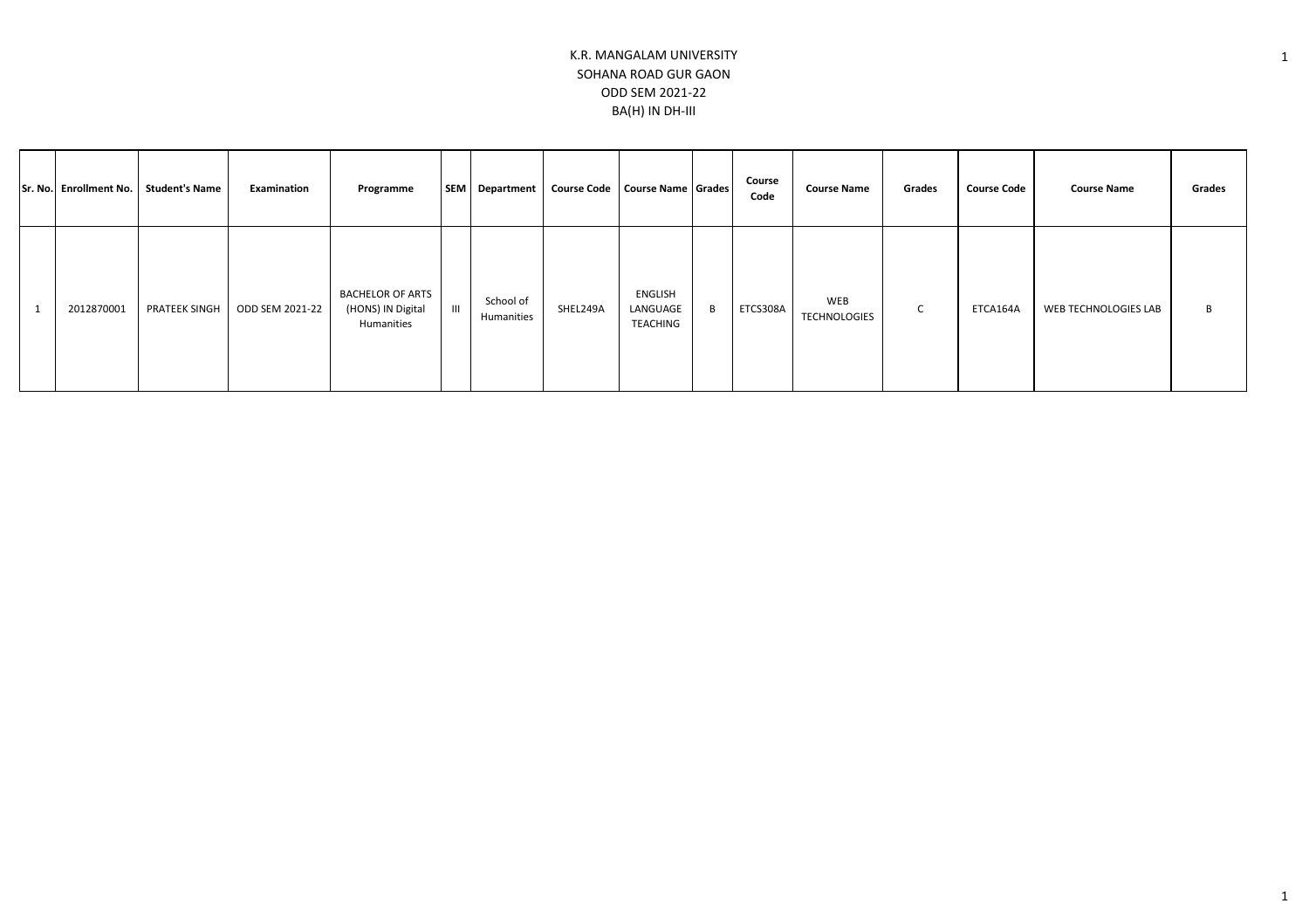|  | Sr. No. Enrollment No. | Student's Name | Examination     | Programme                                                  |                | SEM   Department        | <b>Course Code</b> | Course Name Grades              |   | Course<br>Code | <b>Course Name</b>         | Grades      | <b>Course Code</b> | <b>Course Name</b>   | Grades |
|--|------------------------|----------------|-----------------|------------------------------------------------------------|----------------|-------------------------|--------------------|---------------------------------|---|----------------|----------------------------|-------------|--------------------|----------------------|--------|
|  | 2012870001             | PRATEEK SINGH  | ODD SEM 2021-22 | <b>BACHELOR OF ARTS</b><br>(HONS) IN Digital<br>Humanities | $\mathbf{III}$ | School of<br>Humanities | SHEL249A           | ENGLISH<br>LANGUAGE<br>TEACHING | B | ETCS308A       | WEB<br><b>TECHNOLOGIES</b> | $\sim$<br>◡ | ETCA164A           | WEB TECHNOLOGIES LAB | B      |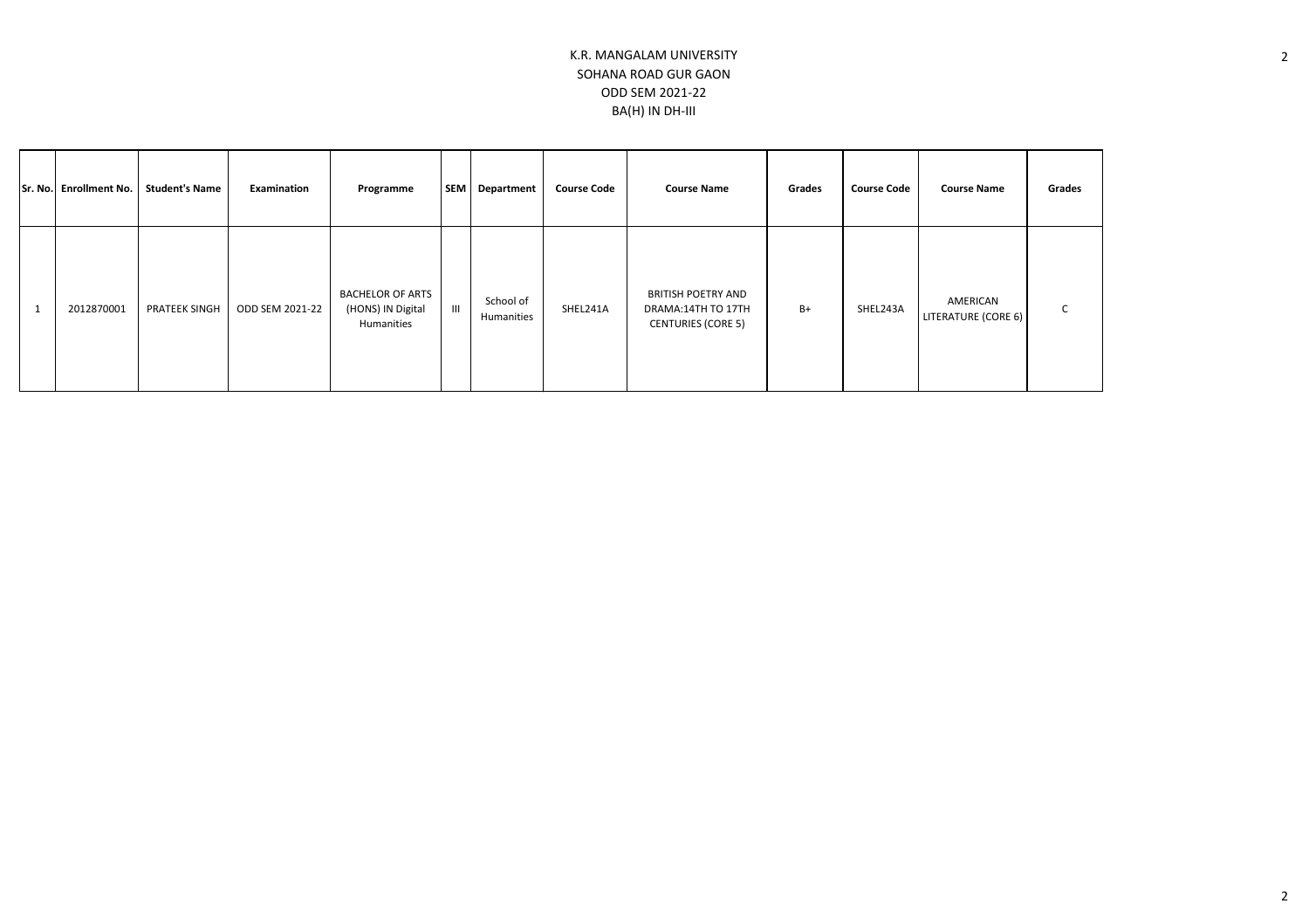|  | Sr. No. Enrollment No. | <b>Student's Name</b> | Examination     | Programme                                                  | <b>SEM</b>    | Department              | <b>Course Code</b> | <b>Course Name</b>                                                    | Grades | <b>Course Code</b> | <b>Course Name</b>              | Grades |
|--|------------------------|-----------------------|-----------------|------------------------------------------------------------|---------------|-------------------------|--------------------|-----------------------------------------------------------------------|--------|--------------------|---------------------------------|--------|
|  | 2012870001             | PRATEEK SINGH         | ODD SEM 2021-22 | <b>BACHELOR OF ARTS</b><br>(HONS) IN Digital<br>Humanities | $\  \cdot \ $ | School of<br>Humanities | SHEL241A           | BRITISH POETRY AND<br>DRAMA:14TH TO 17TH<br><b>CENTURIES (CORE 5)</b> | $B+$   | SHEL243A           | AMERICAN<br>LITERATURE (CORE 6) | ◡      |

2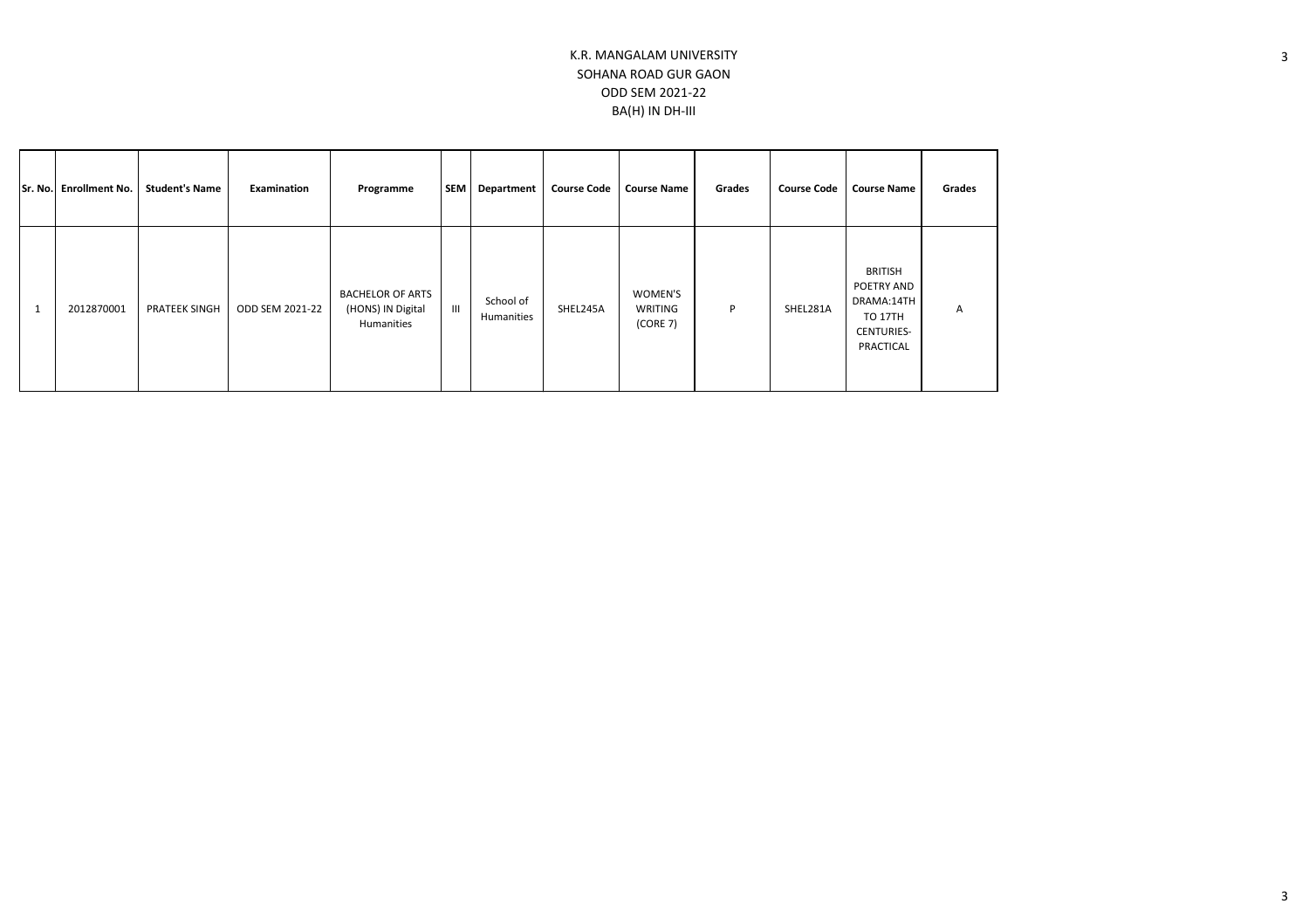|              | Sr. No. Enrollment No. | <b>Student's Name</b> | Examination     | Programme                                                  | SEM            | <b>Department</b>       | <b>Course Code</b><br><b>Course Name</b> |                                | Grades | <b>Course Code</b> | <b>Course Name</b>                                                                             | Grades |
|--------------|------------------------|-----------------------|-----------------|------------------------------------------------------------|----------------|-------------------------|------------------------------------------|--------------------------------|--------|--------------------|------------------------------------------------------------------------------------------------|--------|
| $\mathbf{1}$ | 2012870001             | <b>PRATEEK SINGH</b>  | ODD SEM 2021-22 | <b>BACHELOR OF ARTS</b><br>(HONS) IN Digital<br>Humanities | $\mathbf{III}$ | School of<br>Humanities | SHEL245A                                 | WOMEN'S<br>WRITING<br>(CORE 7) | P      | SHEL281A           | <b>BRITISH</b><br>POETRY AND<br>DRAMA:14TH<br><b>TO 17TH</b><br><b>CENTURIES-</b><br>PRACTICAL | A      |